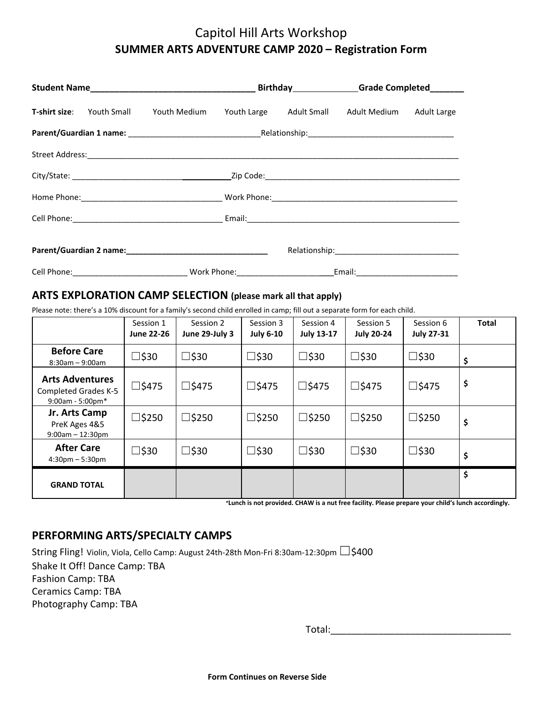# Capitol Hill Arts Workshop **SUMMER ARTS ADVENTURE CAMP 2020 – Registration Form**

|  |  |                                                                                         |  |  | Birthday Grade Completed Birthday |  |
|--|--|-----------------------------------------------------------------------------------------|--|--|-----------------------------------|--|
|  |  | T-shirt size: Youth Small Youth Medium Youth Large Adult Small Adult Medium Adult Large |  |  |                                   |  |
|  |  |                                                                                         |  |  |                                   |  |
|  |  |                                                                                         |  |  |                                   |  |
|  |  |                                                                                         |  |  |                                   |  |
|  |  |                                                                                         |  |  |                                   |  |
|  |  |                                                                                         |  |  |                                   |  |
|  |  |                                                                                         |  |  |                                   |  |
|  |  |                                                                                         |  |  |                                   |  |

# **ARTS EXPLORATION CAMP SELECTION (please mark all that apply)**

Please note: there's a 10% discount for a family's second child enrolled in camp; fill out a separate form for each child.

|                                                                              | Session 1<br><b>June 22-26</b> | Session 2<br>June 29-July 3 | Session 3<br><b>July 6-10</b> | Session 4<br><b>July 13-17</b> | Session 5<br><b>July 20-24</b> | Session 6<br><b>July 27-31</b> | <b>Total</b> |
|------------------------------------------------------------------------------|--------------------------------|-----------------------------|-------------------------------|--------------------------------|--------------------------------|--------------------------------|--------------|
| <b>Before Care</b><br>$8:30$ am - 9:00am                                     | □\$30                          | $\square$ \$30              | $\square$ \$30                | $\square$ \$30                 | $\square$ \$30                 | □\$30                          | \$           |
| <b>Arts Adventures</b><br><b>Completed Grades K-5</b><br>$9:00$ am - 5:00pm* | $\square$ \$475                | $\square$ \$475             | $\square$ \$475               | $\square$ \$475                | $\square$ \$475                | □\$475                         | \$           |
| Jr. Arts Camp<br>PreK Ages 4&5<br>$9:00am - 12:30pm$                         | $\square$ \$250                | $\square$ \$250             | $\square$ \$250               | $\square$ \$250                | $\square$ \$250                | $\square$ \$250                | \$           |
| <b>After Care</b><br>$4:30pm - 5:30pm$                                       | □\$30                          | $\square$ \$30              | $\square$ \$30                | $\square$ \$30                 | □\$30                          | □\$30                          | \$           |
| <b>GRAND TOTAL</b>                                                           |                                |                             |                               |                                |                                |                                | \$           |

*\****Lunch is not provided. CHAW is a nut free facility. Please prepare your child's lunch accordingly.**

# **PERFORMING ARTS/SPECIALTY CAMPS**

String Fling! Violin, Viola, Cello Camp: August 24th-28th Mon-Fri 8:30am-12:30pm □ \$400 Shake It Off! Dance Camp: TBA Fashion Camp: TBA Ceramics Camp: TBA Photography Camp: TBA

Total:\_\_\_\_\_\_\_\_\_\_\_\_\_\_\_\_\_\_\_\_\_\_\_\_\_\_\_\_\_\_\_\_\_\_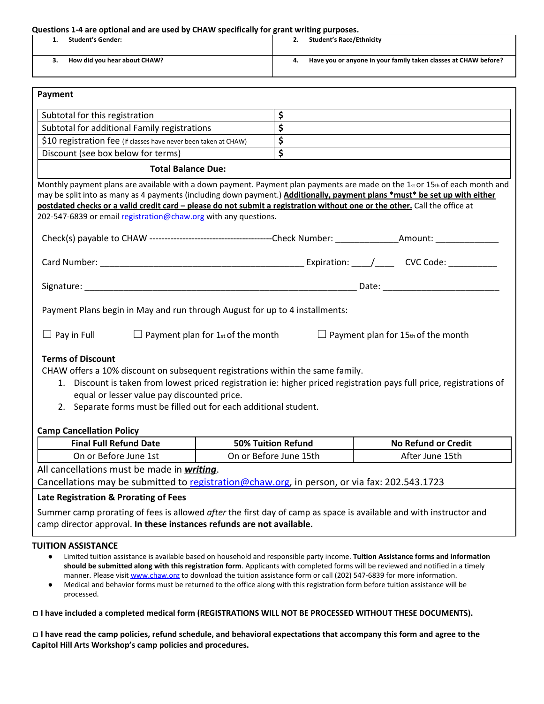| How did you hear about CHAW?<br>4.<br>3.<br>Payment<br>\$<br>Subtotal for this registration<br>\$<br>Subtotal for additional Family registrations<br>\$<br>\$10 registration fee (if classes have never been taken at CHAW)<br>\$<br>Discount (see box below for terms)<br><b>Total Balance Due:</b><br>Monthly payment plans are available with a down payment. Payment plan payments are made on the 1 $_{st}$ or 15 $_{th}$ of each month and<br>may be split into as many as 4 payments (including down payment.) Additionally, payment plans *must* be set up with either<br>postdated checks or a valid credit card - please do not submit a registration without one or the other. Call the office at<br>202-547-6839 or email registration@chaw.org with any questions.<br>Payment Plans begin in May and run through August for up to 4 installments:<br>$\Box$ Pay in Full<br>$\Box$ Payment plan for 1st of the month<br>$\Box$ Payment plan for 15th of the month<br><b>Terms of Discount</b><br>CHAW offers a 10% discount on subsequent registrations within the same family.<br>1. Discount is taken from lowest priced registration ie: higher priced registration pays full price, registrations of<br>equal or lesser value pay discounted price.<br>2. Separate forms must be filled out for each additional student.<br><b>Final Full Refund Date</b><br><b>50% Tuition Refund</b><br><b>No Refund or Credit</b><br>On or Before June 1st<br>On or Before June 15th<br>After June 15th<br>All cancellations must be made in <i>writing</i> .<br>Cancellations may be submitted to registration@chaw.org, in person, or via fax: 202.543.1723 | <b>Student's Gender:</b><br>1.  | <b>Student's Race/Ethnicity</b><br>2. |                                                                 |  |  |
|------------------------------------------------------------------------------------------------------------------------------------------------------------------------------------------------------------------------------------------------------------------------------------------------------------------------------------------------------------------------------------------------------------------------------------------------------------------------------------------------------------------------------------------------------------------------------------------------------------------------------------------------------------------------------------------------------------------------------------------------------------------------------------------------------------------------------------------------------------------------------------------------------------------------------------------------------------------------------------------------------------------------------------------------------------------------------------------------------------------------------------------------------------------------------------------------------------------------------------------------------------------------------------------------------------------------------------------------------------------------------------------------------------------------------------------------------------------------------------------------------------------------------------------------------------------------------------------------------------------------------------------------------------------|---------------------------------|---------------------------------------|-----------------------------------------------------------------|--|--|
|                                                                                                                                                                                                                                                                                                                                                                                                                                                                                                                                                                                                                                                                                                                                                                                                                                                                                                                                                                                                                                                                                                                                                                                                                                                                                                                                                                                                                                                                                                                                                                                                                                                                  |                                 |                                       | Have you or anyone in your family taken classes at CHAW before? |  |  |
|                                                                                                                                                                                                                                                                                                                                                                                                                                                                                                                                                                                                                                                                                                                                                                                                                                                                                                                                                                                                                                                                                                                                                                                                                                                                                                                                                                                                                                                                                                                                                                                                                                                                  |                                 |                                       |                                                                 |  |  |
|                                                                                                                                                                                                                                                                                                                                                                                                                                                                                                                                                                                                                                                                                                                                                                                                                                                                                                                                                                                                                                                                                                                                                                                                                                                                                                                                                                                                                                                                                                                                                                                                                                                                  |                                 |                                       |                                                                 |  |  |
|                                                                                                                                                                                                                                                                                                                                                                                                                                                                                                                                                                                                                                                                                                                                                                                                                                                                                                                                                                                                                                                                                                                                                                                                                                                                                                                                                                                                                                                                                                                                                                                                                                                                  |                                 |                                       |                                                                 |  |  |
|                                                                                                                                                                                                                                                                                                                                                                                                                                                                                                                                                                                                                                                                                                                                                                                                                                                                                                                                                                                                                                                                                                                                                                                                                                                                                                                                                                                                                                                                                                                                                                                                                                                                  |                                 |                                       |                                                                 |  |  |
|                                                                                                                                                                                                                                                                                                                                                                                                                                                                                                                                                                                                                                                                                                                                                                                                                                                                                                                                                                                                                                                                                                                                                                                                                                                                                                                                                                                                                                                                                                                                                                                                                                                                  |                                 |                                       |                                                                 |  |  |
|                                                                                                                                                                                                                                                                                                                                                                                                                                                                                                                                                                                                                                                                                                                                                                                                                                                                                                                                                                                                                                                                                                                                                                                                                                                                                                                                                                                                                                                                                                                                                                                                                                                                  |                                 |                                       |                                                                 |  |  |
|                                                                                                                                                                                                                                                                                                                                                                                                                                                                                                                                                                                                                                                                                                                                                                                                                                                                                                                                                                                                                                                                                                                                                                                                                                                                                                                                                                                                                                                                                                                                                                                                                                                                  |                                 |                                       |                                                                 |  |  |
|                                                                                                                                                                                                                                                                                                                                                                                                                                                                                                                                                                                                                                                                                                                                                                                                                                                                                                                                                                                                                                                                                                                                                                                                                                                                                                                                                                                                                                                                                                                                                                                                                                                                  |                                 |                                       |                                                                 |  |  |
|                                                                                                                                                                                                                                                                                                                                                                                                                                                                                                                                                                                                                                                                                                                                                                                                                                                                                                                                                                                                                                                                                                                                                                                                                                                                                                                                                                                                                                                                                                                                                                                                                                                                  |                                 |                                       |                                                                 |  |  |
|                                                                                                                                                                                                                                                                                                                                                                                                                                                                                                                                                                                                                                                                                                                                                                                                                                                                                                                                                                                                                                                                                                                                                                                                                                                                                                                                                                                                                                                                                                                                                                                                                                                                  |                                 |                                       |                                                                 |  |  |
|                                                                                                                                                                                                                                                                                                                                                                                                                                                                                                                                                                                                                                                                                                                                                                                                                                                                                                                                                                                                                                                                                                                                                                                                                                                                                                                                                                                                                                                                                                                                                                                                                                                                  |                                 |                                       |                                                                 |  |  |
|                                                                                                                                                                                                                                                                                                                                                                                                                                                                                                                                                                                                                                                                                                                                                                                                                                                                                                                                                                                                                                                                                                                                                                                                                                                                                                                                                                                                                                                                                                                                                                                                                                                                  |                                 |                                       |                                                                 |  |  |
|                                                                                                                                                                                                                                                                                                                                                                                                                                                                                                                                                                                                                                                                                                                                                                                                                                                                                                                                                                                                                                                                                                                                                                                                                                                                                                                                                                                                                                                                                                                                                                                                                                                                  |                                 |                                       |                                                                 |  |  |
|                                                                                                                                                                                                                                                                                                                                                                                                                                                                                                                                                                                                                                                                                                                                                                                                                                                                                                                                                                                                                                                                                                                                                                                                                                                                                                                                                                                                                                                                                                                                                                                                                                                                  | <b>Camp Cancellation Policy</b> |                                       |                                                                 |  |  |
|                                                                                                                                                                                                                                                                                                                                                                                                                                                                                                                                                                                                                                                                                                                                                                                                                                                                                                                                                                                                                                                                                                                                                                                                                                                                                                                                                                                                                                                                                                                                                                                                                                                                  |                                 |                                       |                                                                 |  |  |
|                                                                                                                                                                                                                                                                                                                                                                                                                                                                                                                                                                                                                                                                                                                                                                                                                                                                                                                                                                                                                                                                                                                                                                                                                                                                                                                                                                                                                                                                                                                                                                                                                                                                  |                                 |                                       |                                                                 |  |  |
|                                                                                                                                                                                                                                                                                                                                                                                                                                                                                                                                                                                                                                                                                                                                                                                                                                                                                                                                                                                                                                                                                                                                                                                                                                                                                                                                                                                                                                                                                                                                                                                                                                                                  |                                 |                                       |                                                                 |  |  |
|                                                                                                                                                                                                                                                                                                                                                                                                                                                                                                                                                                                                                                                                                                                                                                                                                                                                                                                                                                                                                                                                                                                                                                                                                                                                                                                                                                                                                                                                                                                                                                                                                                                                  |                                 |                                       |                                                                 |  |  |

Summer camp prorating of fees is allowed *after* the first day of camp as space is available and with instructor and camp director approval. **In these instances refunds are not available.**

#### **TUITION ASSISTANCE**

- Limited tuition assistance is available based on household and responsible party income. **Tuition Assistance forms and information should be submitted along with this registration form**. Applicants with completed forms will be reviewed and notified in a timely manner. Please visit [www.chaw.org](http://www.chaw.org/) to download the tuition assistance form or call (202) 547-6839 for more information.
- Medical and behavior forms must be returned to the office along with this registration form before tuition assistance will be processed.

◻ **I have included a completed medical form (REGISTRATIONS WILL NOT BE PROCESSED WITHOUT THESE DOCUMENTS).**

 $\Box$  I have read the camp policies, refund schedule, and behavioral expectations that accompany this form and agree to the **Capitol Hill Arts Workshop's camp policies and procedures.**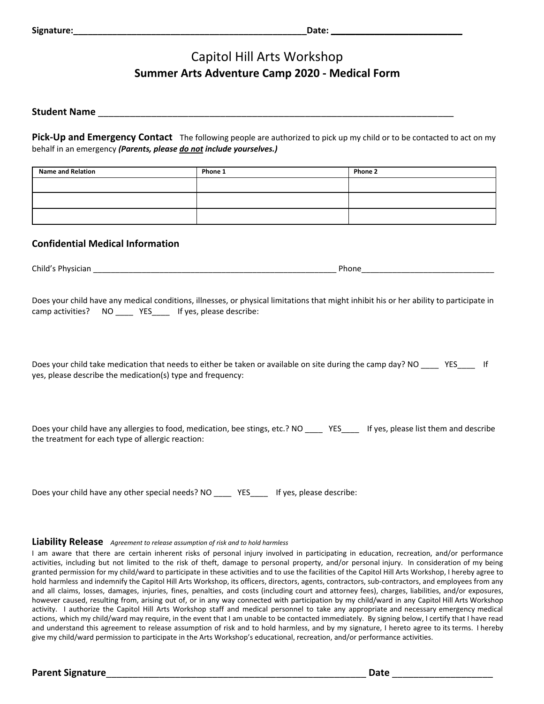# Capitol Hill Arts Workshop **Summer Arts Adventure Camp 2020 - Medical Form**

### **Student Name** \_\_\_\_\_\_\_\_\_\_\_\_\_\_\_\_\_\_\_\_\_\_\_\_\_\_\_\_\_\_\_\_\_\_\_\_\_\_\_\_\_\_\_\_\_\_\_\_\_\_\_\_\_\_\_\_\_\_\_\_\_\_\_\_\_\_\_

**Pick-Up and Emergency Contact** The following people are authorized to pick up my child or to be contacted to act on my behalf in an emergency *(Parents, please do not include yourselves.)*

| <b>Name and Relation</b> | Phone 1 | <b>Phone 2</b> |
|--------------------------|---------|----------------|
|                          |         |                |
|                          |         |                |
|                          |         |                |

### **Confidential Medical Information**

Child's Physician \_\_\_\_\_\_\_\_\_\_\_\_\_\_\_\_\_\_\_\_\_\_\_\_\_\_\_\_\_\_\_\_\_\_\_\_\_\_\_\_\_\_\_\_\_\_\_\_\_\_\_\_\_\_\_ Phone\_\_\_\_\_\_\_\_\_\_\_\_\_\_\_\_\_\_\_\_\_\_\_\_\_\_\_\_\_\_

Does your child have any medical conditions, illnesses, or physical limitations that might inhibit his or her ability to participate in camp activities? NO \_\_\_\_ YES\_\_\_\_ If yes, please describe:

Does your child take medication that needs to either be taken or available on site during the camp day? NO \_\_\_\_ YES\_\_\_\_ If yes, please describe the medication(s) type and frequency:

Does your child have any allergies to food, medication, bee stings, etc.? NO \_\_\_\_ YES\_\_\_\_ If yes, please list them and describe the treatment for each type of allergic reaction:

Does your child have any other special needs? NO \_\_\_\_\_ YES\_\_\_\_ If yes, please describe:

#### **Liability Release** *Agreement to release assumption of risk and to hold harmless*

I am aware that there are certain inherent risks of personal injury involved in participating in education, recreation, and/or performance activities, including but not limited to the risk of theft, damage to personal property, and/or personal injury. In consideration of my being granted permission for my child/ward to participate in these activities and to use the facilities of the Capitol Hill Arts Workshop, I hereby agree to hold harmless and indemnify the Capitol Hill Arts Workshop, its officers, directors, agents, contractors, sub-contractors, and employees from any and all claims, losses, damages, injuries, fines, penalties, and costs (including court and attorney fees), charges, liabilities, and/or exposures, however caused, resulting from, arising out of, or in any way connected with participation by my child/ward in any Capitol Hill Arts Workshop activity. I authorize the Capitol Hill Arts Workshop staff and medical personnel to take any appropriate and necessary emergency medical actions, which my child/ward may require, in the event that I am unable to be contacted immediately. By signing below, I certify that I have read and understand this agreement to release assumption of risk and to hold harmless, and by my signature, I hereto agree to its terms. I hereby give my child/ward permission to participate in the Arts Workshop's educational, recreation, and/or performance activities.